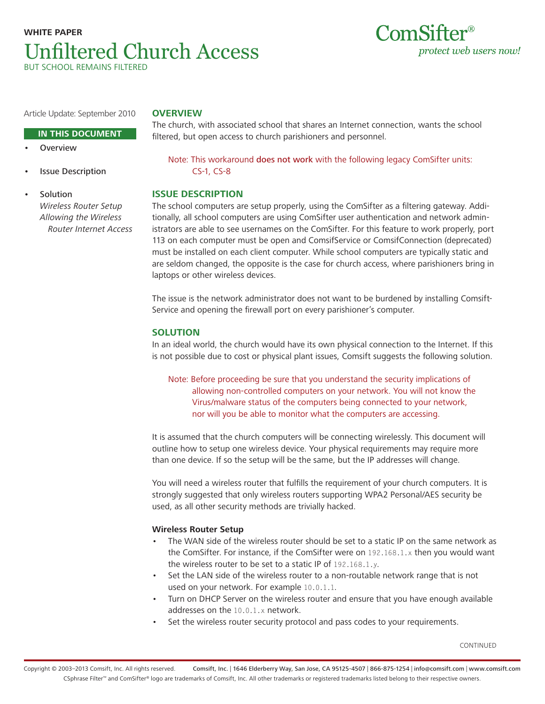# **WHITE PAPER** Unfiltered Church Access BUT SCHOOL REMAINS FILTERED



Article Update: September 2010

# **OVERVIEW**

## **IN THIS DOCUMENT**

- **Overview**
- **Issue Description**

**Solution** Wireless Router Setup Allowing the Wireless Router Internet Access Note: This workaround does not work with the following legacy ComSifter units: CS-1, CS-8

The church, with associated school that shares an Internet connection, wants the school

filtered, but open access to church parishioners and personnel.

## **ISSUE DESCRIPTION**

The school computers are setup properly, using the ComSifter as a filtering gateway. Additionally, all school computers are using ComSifter user authentication and network administrators are able to see usernames on the ComSifter. For this feature to work properly, port 113 on each computer must be open and ComsifService or ComsifConnection (deprecated) must be installed on each client computer. While school computers are typically static and are seldom changed, the opposite is the case for church access, where parishioners bring in laptops or other wireless devices.

The issue is the network administrator does not want to be burdened by installing Comsift-Service and opening the firewall port on every parishioner's computer.

## **SOLUTION**

In an ideal world, the church would have its own physical connection to the Internet. If this is not possible due to cost or physical plant issues, Comsift suggests the following solution.

Note: Before proceeding be sure that you understand the security implications of allowing non-controlled computers on your network. You will not know the Virus/malware status of the computers being connected to your network, nor will you be able to monitor what the computers are accessing.

It is assumed that the church computers will be connecting wirelessly. This document will outline how to setup one wireless device. Your physical requirements may require more than one device. If so the setup will be the same, but the IP addresses will change.

You will need a wireless router that fulfills the requirement of your church computers. It is strongly suggested that only wireless routers supporting WPA2 Personal/AES security be used, as all other security methods are trivially hacked.

## **Wireless Router Setup**

- The WAN side of the wireless router should be set to a static IP on the same network as the ComSifter. For instance, if the ComSifter were on 192.168.1.x then you would want the wireless router to be set to a static IP of 192.168.1.y.
- Set the LAN side of the wireless router to a non-routable network range that is not used on your network. For example 10.0.1.1.
- Turn on DHCP Server on the wireless router and ensure that you have enough available addresses on the 10.0.1.x network.
- Set the wireless router security protocol and pass codes to your requirements.

CONTINUED